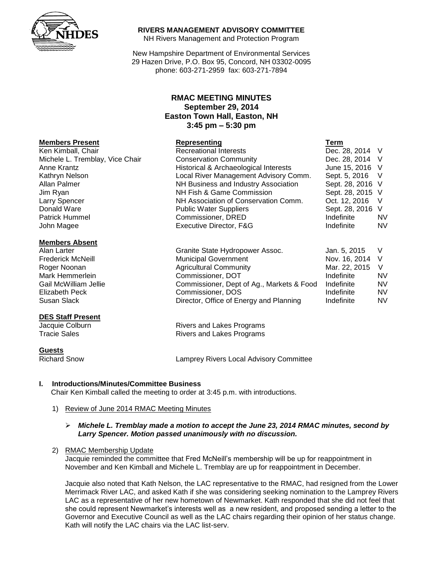

#### **RIVERS MANAGEMENT ADVISORY COMMITTEE**

NH Rivers Management and Protection Program

New Hampshire Department of Environmental Services 29 Hazen Drive, P.O. Box 95, Concord, NH 03302-0095 phone: 603-271-2959 fax: 603-271-7894

# **RMAC MEETING MINUTES September 29, 2014 Easton Town Hall, Easton, NH 3:45 pm – 5:30 pm**

|                                 | **************                        | .                |           |
|---------------------------------|---------------------------------------|------------------|-----------|
| Ken Kimball, Chair              | <b>Recreational Interests</b>         | Dec. 28, 2014 V  |           |
| Michele L. Tremblay, Vice Chair | <b>Conservation Community</b>         | Dec. 28, 2014 V  |           |
| Anne Krantz                     | Historical & Archaeological Interests | June 15, 2016 V  |           |
| Kathryn Nelson                  | Local River Management Advisory Comm. | Sept. 5, 2016 V  |           |
| Allan Palmer                    | NH Business and Industry Association  | Sept. 28, 2016 V |           |
| Jim Ryan                        | NH Fish & Game Commission             | Sept. 28, 2015 V |           |
| <b>Larry Spencer</b>            | NH Association of Conservation Comm.  | Oct. 12, 2016    |           |
| Donald Ware                     | <b>Public Water Suppliers</b>         | Sept. 28, 2016 V |           |
| <b>Patrick Hummel</b>           | Commissioner, DRED                    | Indefinite       | <b>NV</b> |
| John Magee                      | Executive Director, F&G               | Indefinite       | <b>NV</b> |
|                                 |                                       |                  |           |

| Alan Larter           | Granite State Hydropower Assoc.           | Jan. 5, 2015    |           |
|-----------------------|-------------------------------------------|-----------------|-----------|
| Frederick McNeill     | <b>Municipal Government</b>               | Nov. 16, 2014 V |           |
| Roger Noonan          | <b>Agricultural Community</b>             | Mar. 22, 2015   |           |
| Mark Hemmerlein       | Commissioner, DOT                         | Indefinite      | <b>NV</b> |
| Gail McWilliam Jellie | Commissioner, Dept of Ag., Markets & Food | Indefinite      | NV        |
| Elizabeth Peck        | Commissioner, DOS                         | Indefinite      | NV        |
| Susan Slack           | Director, Office of Energy and Planning   | Indefinite      | <b>NV</b> |

Jacquie Colburn **Rivers and Lakes Programs**<br>
Tracie Sales<br> **Rivers and Lakes Programs** Rivers and Lakes Programs

Richard Snow Lamprey Rivers Local Advisory Committee

## **I. Introductions/Minutes/Committee Business**

Chair Ken Kimball called the meeting to order at 3:45 p.m. with introductions.

1) Review of June 2014 RMAC Meeting Minutes

#### *Michele L. Tremblay made a motion to accept the June 23, 2014 RMAC minutes, second by Larry Spencer. Motion passed unanimously with no discussion.*

2) RMAC Membership Update

Jacquie reminded the committee that Fred McNeill's membership will be up for reappointment in November and Ken Kimball and Michele L. Tremblay are up for reappointment in December.

Jacquie also noted that Kath Nelson, the LAC representative to the RMAC, had resigned from the Lower Merrimack River LAC, and asked Kath if she was considering seeking nomination to the Lamprey Rivers LAC as a representative of her new hometown of Newmarket. Kath responded that she did not feel that she could represent Newmarket's interests well as a new resident, and proposed sending a letter to the Governor and Executive Council as well as the LAC chairs regarding their opinion of her status change. Kath will notify the LAC chairs via the LAC list-serv.

## **Members Present Representing Term**

#### **Members Absent**

#### **DES Staff Present**

**Guests**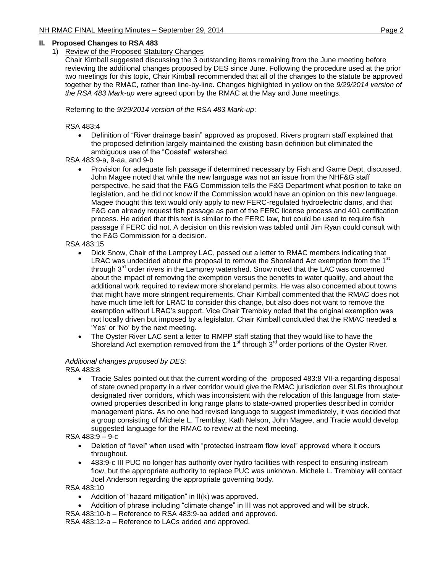## **II. Proposed Changes to RSA 483**

1) Review of the Proposed Statutory Changes

Chair Kimball suggested discussing the 3 outstanding items remaining from the June meeting before reviewing the additional changes proposed by DES since June. Following the procedure used at the prior two meetings for this topic, Chair Kimball recommended that all of the changes to the statute be approved together by the RMAC, rather than line-by-line. Changes highlighted in yellow on the *9/29/2014 version of the RSA 483 Mark-up* were agreed upon by the RMAC at the May and June meetings.

Referring to the *9/29/2014 version of the RSA 483 Mark-up*:

RSA 483:4

 Definition of "River drainage basin" approved as proposed. Rivers program staff explained that the proposed definition largely maintained the existing basin definition but eliminated the ambiguous use of the "Coastal" watershed.

RSA 483:9-a, 9-aa, and 9-b

 Provision for adequate fish passage if determined necessary by Fish and Game Dept. discussed. John Magee noted that while the new language was not an issue from the NHF&G staff perspective, he said that the F&G Commission tells the F&G Department what position to take on legislation, and he did not know if the Commission would have an opinion on this new language. Magee thought this text would only apply to new FERC-regulated hydroelectric dams, and that F&G can already request fish passage as part of the FERC license process and 401 certification process. He added that this text is similar to the FERC law, but could be used to require fish passage if FERC did not. A decision on this revision was tabled until Jim Ryan could consult with the F&G Commission for a decision.

#### RSA 483:15

- Dick Snow, Chair of the Lamprey LAC, passed out a letter to RMAC members indicating that LRAC was undecided about the proposal to remove the Shoreland Act exemption from the 1<sup>st</sup> through 3<sup>rd</sup> order rivers in the Lamprey watershed. Snow noted that the LAC was concerned about the impact of removing the exemption versus the benefits to water quality, and about the additional work required to review more shoreland permits. He was also concerned about towns that might have more stringent requirements. Chair Kimball commented that the RMAC does not have much time left for LRAC to consider this change, but also does not want to remove the exemption without LRAC's support. Vice Chair Tremblay noted that the original exemption was not locally driven but imposed by a legislator. Chair Kimball concluded that the RMAC needed a 'Yes' or 'No' by the next meeting.
- The Oyster River LAC sent a letter to RMPP staff stating that they would like to have the Shoreland Act exemption removed from the  $1<sup>st</sup>$  through  $3<sup>rd</sup>$  order portions of the Oyster River.

## *Additional changes proposed by DES*:

RSA 483:8

 Tracie Sales pointed out that the current wording of the proposed 483:8 VII-a regarding disposal of state owned property in a river corridor would give the RMAC jurisdiction over SLRs throughout designated river corridors, which was inconsistent with the relocation of this language from stateowned properties described in long range plans to state-owned properties described in corridor management plans. As no one had revised language to suggest immediately, it was decided that a group consisting of Michele L. Tremblay, Kath Nelson, John Magee, and Tracie would develop suggested language for the RMAC to review at the next meeting.

RSA 483:9 – 9-c

- Deletion of "level" when used with "protected instream flow level" approved where it occurs throughout.
- 483:9-c III PUC no longer has authority over hydro facilities with respect to ensuring instream flow, but the appropriate authority to replace PUC was unknown. Michele L. Tremblay will contact Joel Anderson regarding the appropriate governing body.

RSA 483:10

- Addition of "hazard mitigation" in II(k) was approved.
- Addition of phrase including "climate change" in III was not approved and will be struck.
- RSA 483:10-b Reference to RSA 483:9-aa added and approved.

RSA 483:12-a – Reference to LACs added and approved.